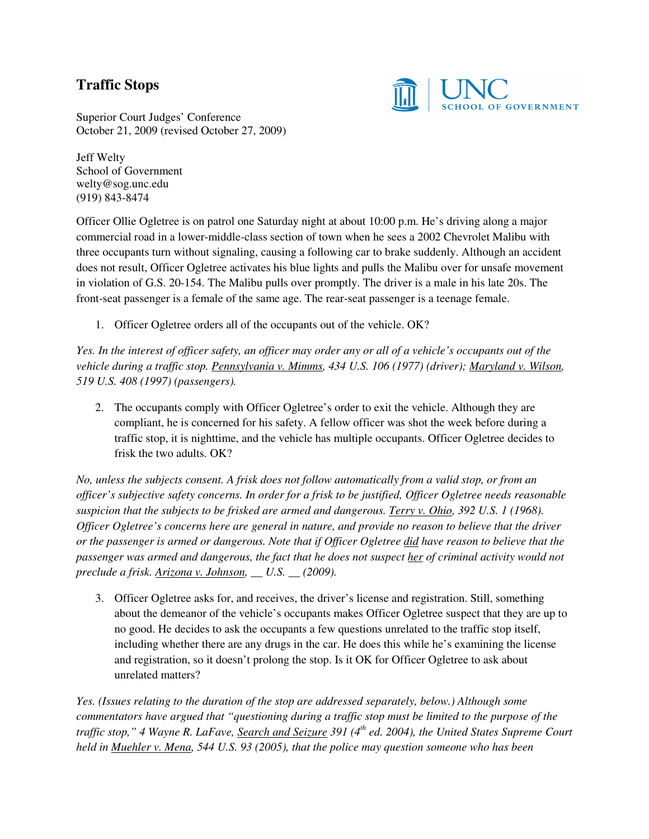## **Traffic Stops**



Superior Court Judges' Conference October 21, 2009 (revised October 27, 2009)

Jeff Welty School of Government welty@sog.unc.edu (919) 843-8474

Officer Ollie Ogletree is on patrol one Saturday night at about 10:00 p.m. He's driving along a major commercial road in a lower-middle-class section of town when he sees a 2002 Chevrolet Malibu with three occupants turn without signaling, causing a following car to brake suddenly. Although an accident does not result, Officer Ogletree activates his blue lights and pulls the Malibu over for unsafe movement in violation of G.S. 20-154. The Malibu pulls over promptly. The driver is a male in his late 20s. The front-seat passenger is a female of the same age. The rear-seat passenger is a teenage female.

1. Officer Ogletree orders all of the occupants out of the vehicle. OK?

*Yes. In the interest of officer safety, an officer may order any or all of a vehicle's occupants out of the vehicle during a traffic stop. Pennsylvania v. Mimms, 434 U.S. 106 (1977) (driver); Maryland v. Wilson, 519 U.S. 408 (1997) (passengers).* 

2. The occupants comply with Officer Ogletree's order to exit the vehicle. Although they are compliant, he is concerned for his safety. A fellow officer was shot the week before during a traffic stop, it is nighttime, and the vehicle has multiple occupants. Officer Ogletree decides to frisk the two adults. OK?

*No, unless the subjects consent. A frisk does not follow automatically from a valid stop, or from an officer's subjective safety concerns. In order for a frisk to be justified, Officer Ogletree needs reasonable suspicion that the subjects to be frisked are armed and dangerous. Terry v. Ohio, 392 U.S. 1 (1968). Officer Ogletree's concerns here are general in nature, and provide no reason to believe that the driver or the passenger is armed or dangerous. Note that if Officer Ogletree did have reason to believe that the passenger was armed and dangerous, the fact that he does not suspect her of criminal activity would not preclude a frisk. Arizona v. Johnson, \_\_ U.S. \_\_ (2009).*

3. Officer Ogletree asks for, and receives, the driver's license and registration. Still, something about the demeanor of the vehicle's occupants makes Officer Ogletree suspect that they are up to no good. He decides to ask the occupants a few questions unrelated to the traffic stop itself, including whether there are any drugs in the car. He does this while he's examining the license and registration, so it doesn't prolong the stop. Is it OK for Officer Ogletree to ask about unrelated matters?

*Yes. (Issues relating to the duration of the stop are addressed separately, below.) Although some commentators have argued that "questioning during a traffic stop must be limited to the purpose of the traffic stop," 4 Wayne R. LaFave, Search and Seizure 391 (4th ed. 2004), the United States Supreme Court held in Muehler v. Mena, 544 U.S. 93 (2005), that the police may question someone who has been*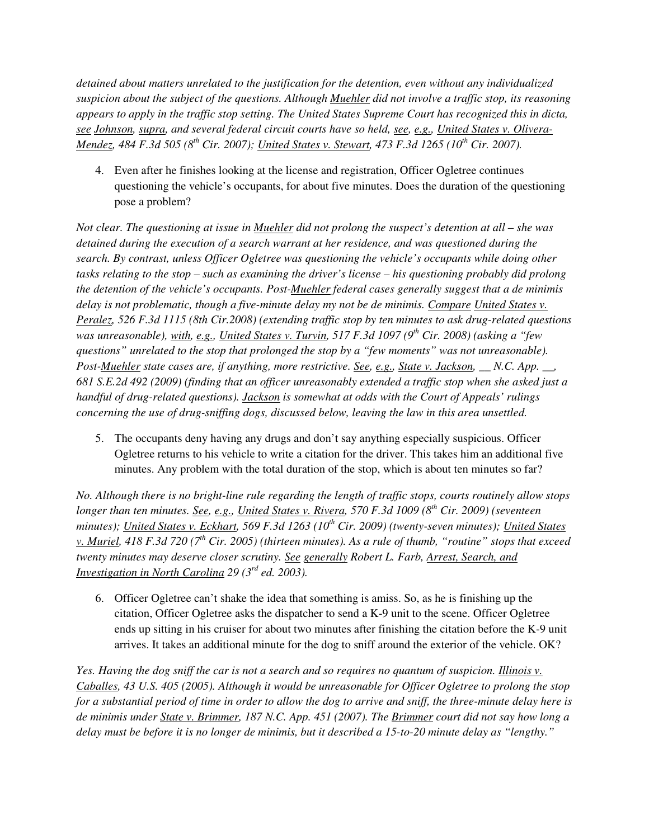*detained about matters unrelated to the justification for the detention, even without any individualized suspicion about the subject of the questions. Although Muehler did not involve a traffic stop, its reasoning appears to apply in the traffic stop setting. The United States Supreme Court has recognized this in dicta, see Johnson, supra, and several federal circuit courts have so held, see, e.g., United States v. Olivera-Mendez, 484 F.3d 505 (8th Cir. 2007); United States v. Stewart, 473 F.3d 1265 (10th Cir. 2007).* 

4. Even after he finishes looking at the license and registration, Officer Ogletree continues questioning the vehicle's occupants, for about five minutes. Does the duration of the questioning pose a problem?

*Not clear. The questioning at issue in Muehler did not prolong the suspect's detention at all – she was detained during the execution of a search warrant at her residence, and was questioned during the search. By contrast, unless Officer Ogletree was questioning the vehicle's occupants while doing other tasks relating to the stop – such as examining the driver's license – his questioning probably did prolong the detention of the vehicle's occupants. Post-Muehler federal cases generally suggest that a de minimis delay is not problematic, though a five-minute delay my not be de minimis. Compare United States v. Peralez, 526 F.3d 1115 (8th Cir.2008) (extending traffic stop by ten minutes to ask drug-related questions was unreasonable), with, e.g., United States v. Turvin, 517 F.3d 1097 (9th Cir. 2008) (asking a "few questions" unrelated to the stop that prolonged the stop by a "few moments" was not unreasonable). Post-Muehler state cases are, if anything, more restrictive. See, e.g., State v. Jackson, \_\_ N.C. App. \_\_, 681 S.E.2d 492 (2009) (finding that an officer unreasonably extended a traffic stop when she asked just a handful of drug-related questions). Jackson is somewhat at odds with the Court of Appeals' rulings concerning the use of drug-sniffing dogs, discussed below, leaving the law in this area unsettled.* 

5. The occupants deny having any drugs and don't say anything especially suspicious. Officer Ogletree returns to his vehicle to write a citation for the driver. This takes him an additional five minutes. Any problem with the total duration of the stop, which is about ten minutes so far?

*No. Although there is no bright-line rule regarding the length of traffic stops, courts routinely allow stops longer than ten minutes. See, e.g., United States v. Rivera, 570 F.3d 1009 (8th Cir. 2009) (seventeen minutes); United States v. Eckhart, 569 F.3d 1263 (10th Cir. 2009) (twenty-seven minutes); United States v. Muriel, 418 F.3d 720 (7th Cir. 2005) (thirteen minutes). As a rule of thumb, "routine" stops that exceed twenty minutes may deserve closer scrutiny. See generally Robert L. Farb, Arrest, Search, and Investigation in North Carolina 29 (3<sup>rd</sup> ed. 2003).* 

6. Officer Ogletree can't shake the idea that something is amiss. So, as he is finishing up the citation, Officer Ogletree asks the dispatcher to send a K-9 unit to the scene. Officer Ogletree ends up sitting in his cruiser for about two minutes after finishing the citation before the K-9 unit arrives. It takes an additional minute for the dog to sniff around the exterior of the vehicle. OK?

*Yes. Having the dog sniff the car is not a search and so requires no quantum of suspicion. Illinois v. Caballes, 43 U.S. 405 (2005). Although it would be unreasonable for Officer Ogletree to prolong the stop for a substantial period of time in order to allow the dog to arrive and sniff, the three-minute delay here is de minimis under State v. Brimmer, 187 N.C. App. 451 (2007). The Brimmer court did not say how long a delay must be before it is no longer de minimis, but it described a 15-to-20 minute delay as "lengthy."*